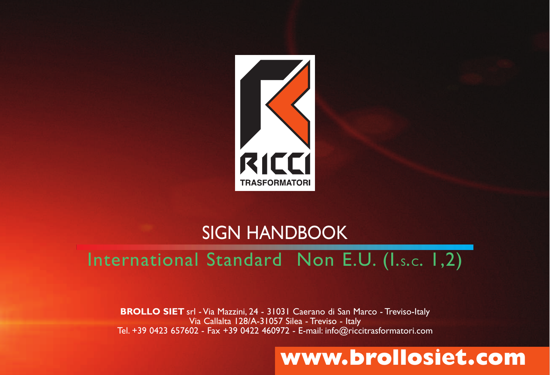

## SIGN HANDBOOK

### International Standard Non E.U. (I.s.c. 1,2)

**BROLLO SIET** srl - Via Mazzini, 24 - 31031 Caerano di San Marco - Treviso-Italy Via Callalta 128/A-31057 Silea - Treviso - Italy Tel. +39 0423 657602 - Fax +39 0422 460972 - E-mail: info@riccitrasformatori.com

### **www.brollosiet.com**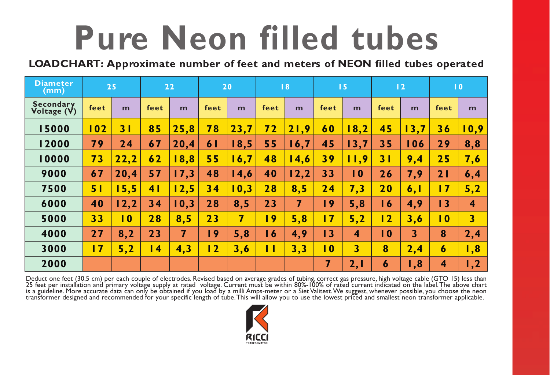## **Pure Neon filled tubes**

**LOADCHART: Approximate number of feet and meters of NEON filled tubes operated**

| <b>Diameter</b><br>(mm)         |                 | 25             |                | 22   |                | 20               |      | 18   |             | 15                      |                | 12  |                         | $\overline{10}$         |
|---------------------------------|-----------------|----------------|----------------|------|----------------|------------------|------|------|-------------|-------------------------|----------------|-----|-------------------------|-------------------------|
| <b>Secondary</b><br>Voltage (V) | feet            | m              | feet           | m    | feet           | m                | feet | m    | feet        | m                       | feet           | m   | feet                    | m                       |
| 15000                           | 0 <sub>2</sub>  | 3 <sub>1</sub> | 85             | 25,8 | 78             | 23,7             | 72   | 21,9 | 60          | 8,2                     | 45             | 3,7 | 36                      | 10,9                    |
| 12000                           | 79              | 24             | 67             | 20,4 | 61             | 18,5             | 55   | 16,7 | 45          | 13,7                    | 35             | 106 | 29                      | 8,8                     |
| 10000                           | 73              | 22,2           | 62             | 8,8  | 55             | 6,7              | 48   | 14,6 | 39          | 11,9                    | 31             | 9,4 | 25                      | 7,6                     |
| 9000                            | 67              | 20,4           | 57             | 17,3 | 48             | 14,6             | 40   | 12,2 | 33          | $\overline{10}$         | 26             | 7,9 | 21                      | 6,4                     |
| 7500                            | 51              | 15,5           | 4 <sub>1</sub> | 12,5 | 34             | $\overline{0,3}$ | 28   | 8,5  | 24          | 7,3                     | 20             | 6,1 | 17                      | 5,2                     |
| 6000                            | 40              | 12,2           | 34             | 10,3 | 28             | 8,5              | 23   | 7    | $\sqrt{9}$  | 5,8                     | 16             | 4,9 | 13                      | 4                       |
| 5000                            | 33              | $\overline{0}$ | 28             | 8,5  | 23             | 7                | 9    | 5,8  | 17          | 5,2                     | 12             | 3,6 | $\overline{10}$         | $\overline{\mathbf{3}}$ |
| 4000                            | 27              | 8,2            | 23             | 7    | 9              | 5,8              | 16   | 4,9  | 13          | 4                       | $\overline{0}$ | 3   | 8                       | 2,4                     |
| 3000                            | $\overline{17}$ | 5,2            | $\overline{4}$ | 4,3  | $\overline{2}$ | 3,6              | П    | 3,3  | $\mathbf 0$ | $\overline{\mathbf{3}}$ | 8              | 2,4 | $\boldsymbol{6}$        | 1,8                     |
| 2000                            |                 |                |                |      |                |                  |      |      | 7           | 2,1                     | 6              | 1,8 | $\overline{\mathbf{4}}$ | ,2                      |

Deduct one feet (30,5 cm) per each couple of electrodes. Revised based on average grades of tubing, correct gas pressure, high voltage cable (GTO 15) less than<br>25 feet per installation and primary voltage supply at rated v

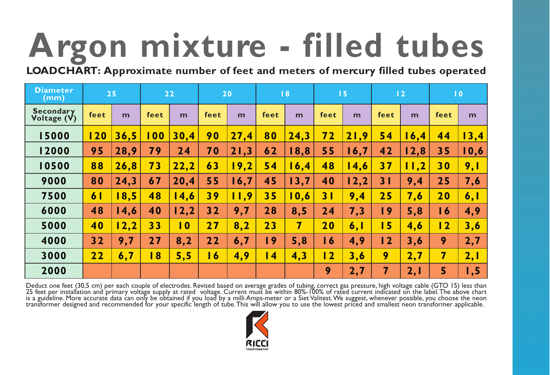# **Argon mixture - filled tubes**

**LOADCHART: Approximate number of feet and meters of mercury filled tubes operated**

| <b>Diameter</b><br>(mm)         |                | 25   |                | 22               |                | 20   |      | 8    |                     | 15   |                | 12   |                | $\overline{10}$ |
|---------------------------------|----------------|------|----------------|------------------|----------------|------|------|------|---------------------|------|----------------|------|----------------|-----------------|
| <b>Secondary</b><br>Voltage (V) | feet           | m    | feet           | m                | feet           | m    | feet | m    | feet                | m    | feet           | m    | feet           | m               |
| 15000                           | 120            | 36,5 | 100            | 30.4             | 90             | 27.4 | 80   | 24,3 | 72                  | 21,9 | 54             | 6,4  | 44             | 13,4            |
| 12000                           | 95             | 28,9 | 79             | 24               | 70             | 21,3 | 62   | 18,8 | 55                  | 16,7 | 42             | 12,8 | 35             | 10,6            |
| 10500                           | 88             | 26,8 | 73             | 22,2             | 63             | 19,2 | 54   | 16,4 | 48                  | 14,6 | 37             | 11,2 | 30             | 9,1             |
| 9000                            | 80             | 24,3 | 67             | 20,4             | 55             | 16,7 | 45   | 13,7 | 40                  | 12,2 | 31             | 9,4  | 25             | 7,6             |
| 7500                            | 6 <sub>1</sub> | 18,5 | 48             | 4,6              | 39             | 11,9 | 35   | 10,6 | 3 <sub>1</sub>      | 9,4  | 25             | 7,6  | 20             | 6,1             |
| 6000                            | 48             | 14,6 | 40             | 12,2             | 32             | 9,7  | 28   | 8,5  | 24                  | 7,3  | 9              | 5,8  | 16             | 4,9             |
| 5000                            | 40             | 12,2 | 33             | $\boldsymbol{0}$ | 27             | 8,2  | 23   | 7    | 20                  | 6,1  | 5              | 4,6  | $\overline{2}$ | 3,6             |
| 4000                            | 32             | 9,7  | 27             | 8,2              | 22             | 6,7  | 9    | 5,8  | $\ddot{\mathbf{6}}$ | 4,9  | $\overline{2}$ | 3, 6 | 9              | 2,7             |
| 3000                            | 22             | 6,7  | $\overline{8}$ | 5,5              | $\overline{6}$ | 4,9  | 4    | 4,3  | $\overline{2}$      | 3,6  | 9              | 2,7  | 7              | 2,1             |
| 2000                            |                |      |                |                  |                |      |      |      | 9                   | 2,7  | 7              | 2, I | $\overline{5}$ | 1,5             |

Deduct one feet (30,5 cm) per each couple of electrodes. Revised based on average grades of tubing, correct gas pressure, high voltage cable (GTO 15) less than<br>25 feet per installation and primary voltage supply at rated v

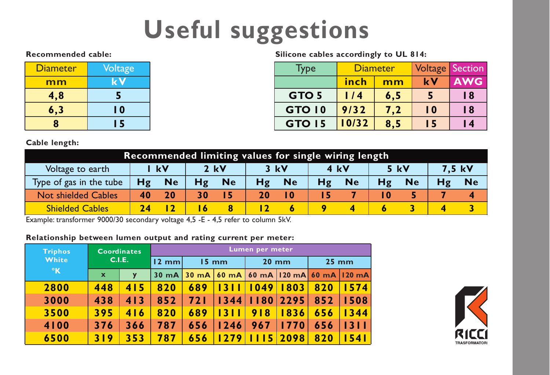## **Useful suggestions**

#### **Recommended cable:**

| <b>Diameter</b> | Voltage |
|-----------------|---------|
| mm              | kV      |
| 4,8             | 5       |
| 6,3             | l 0     |
| R               | 15      |

**Silicone cables accordingly to UL 814:**

| Type             |       | <b>Diameter</b> |                 | <b>Voltage</b> Section |
|------------------|-------|-----------------|-----------------|------------------------|
|                  | inch  | mm              | k V             | <b>AWG</b>             |
| GTO <sub>5</sub> | 1/4   | 6, 5            |                 | l 8                    |
| GTO 10           | 9/32  | 7,2             | $\overline{10}$ | 18                     |
| <b>GTO 15</b>    | 10/32 | 8,5             | l 5             | I 4                    |

#### **Cable length:**

| Recommended limiting values for single wiring length |      |                 |        |           |      |           |      |           |      |           |        |           |
|------------------------------------------------------|------|-----------------|--------|-----------|------|-----------|------|-----------|------|-----------|--------|-----------|
| Voltage to earth                                     | l kV |                 | $2$ kV |           | 3 kV |           | 4 kV |           | 5 kV |           | 7.5 kV |           |
| Type of gas in the tube                              | Hg   | <b>Ne</b>       | Hg     | <b>Ne</b> | Hg   | <b>Ne</b> | Hg   | <b>Ne</b> | Hg   | <b>Ne</b> |        | <b>Ne</b> |
| <b>Not shielded Cables</b>                           | 40   | 20 <sup>°</sup> | 30     |           | 20   |           |      |           | 10   |           |        |           |
| <b>Shielded Cables</b>                               |      |                 |        |           |      |           |      |           |      |           |        |           |

Example: transformer 9000/30 secondary voltage 4,5 -E - 4,5 refer to column 5kV.

#### **Relationship between lumen output and rating current per meter:**

| <b>Triphos</b> | <b>Coordinates</b> |        | Lumen per meter |                 |                                             |      |             |                   |      |  |  |
|----------------|--------------------|--------|-----------------|-----------------|---------------------------------------------|------|-------------|-------------------|------|--|--|
| White          |                    | C.I.E. | $12 \text{ mm}$ | $15 \text{ mm}$ |                                             |      | $20$ mm     | $25 \, \text{mm}$ |      |  |  |
| $\mathsf{R}$   | $\mathbf{x}$       | y      |                 |                 | 30 mA 30 mA 60 mA 60 mA 120 mA 60 mA 120 mA |      |             |                   |      |  |  |
| 2800           | 448                | 415    | 820             | 689             |                                             | 1049 | 803         | 820               | 1574 |  |  |
| 3000           | 438                | 413    | 852             | 72 I            | 1344                                        |      | $1180$ 2295 | 852               | 1508 |  |  |
| 3500           | 395                | 416    | 820             | 689             | 13 L                                        | 918  | 1836        | 656               | 1344 |  |  |
| 4100           | 376                | 366    | 787             | 656             | 1246                                        | 967  | 1770        | 656               | 1311 |  |  |
| 6500           | 319                | 353    | 787             | 656             | 279                                         | 15   | 2098        | 820               | 1541 |  |  |

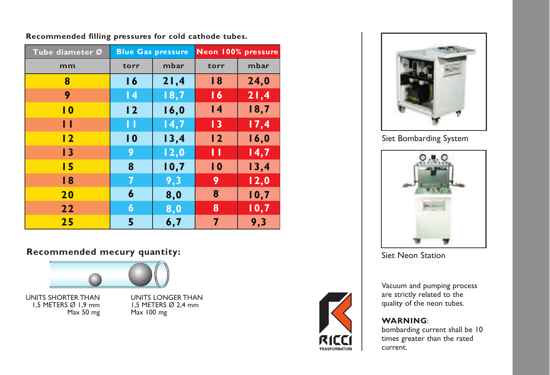| Tube diameter Ø |                 | <b>Blue Gas pressure</b> | Neon 100% pressure |      |  |  |  |
|-----------------|-----------------|--------------------------|--------------------|------|--|--|--|
| mm              | torr            | mbar                     | torr               | mbar |  |  |  |
| 8               | 16              | 21,4                     | 18                 | 24,0 |  |  |  |
| 9               | $\overline{14}$ | 18,7                     | 16                 | 21,4 |  |  |  |
| $\overline{10}$ | 12              | 16,0                     | $\overline{14}$    | 18,7 |  |  |  |
| П               | П               | 14,7                     | $\overline{1}$     | 17,4 |  |  |  |
| $\overline{2}$  | $\overline{10}$ | 13,4                     | 12                 | 16,0 |  |  |  |
| 13              | 9               | 12,0                     | П                  | 14,7 |  |  |  |
| 15              | 8               | 10,7                     | $\overline{10}$    | 13,4 |  |  |  |
| 18              | 7               | 9,3                      | 9                  | 12,0 |  |  |  |
| 20              | 6               | 8,0                      | 8                  | 10,7 |  |  |  |
| 22              | 6               | 8,0                      | 8                  | 10,7 |  |  |  |
| 25              | 5               | 6,7                      | 7                  | 9,3  |  |  |  |

**Recommended filling pressures for cold cathode tubes.**

#### **Recommended mecury quantity:**



UNITS SHORTER THAN 1,5 METERS Ø 1,9 mm Max 50 mg

UNITS LONGER THAN 1,5 METERS Ø 2,4 mm Max 100 mg





Siet Bombarding System



Siet Neon Station

Vacuum and pumping process are strictly related to the quality of the neon tubes.

#### **WARNING**:

bombarding current shall be 10 times greater than the rated current.